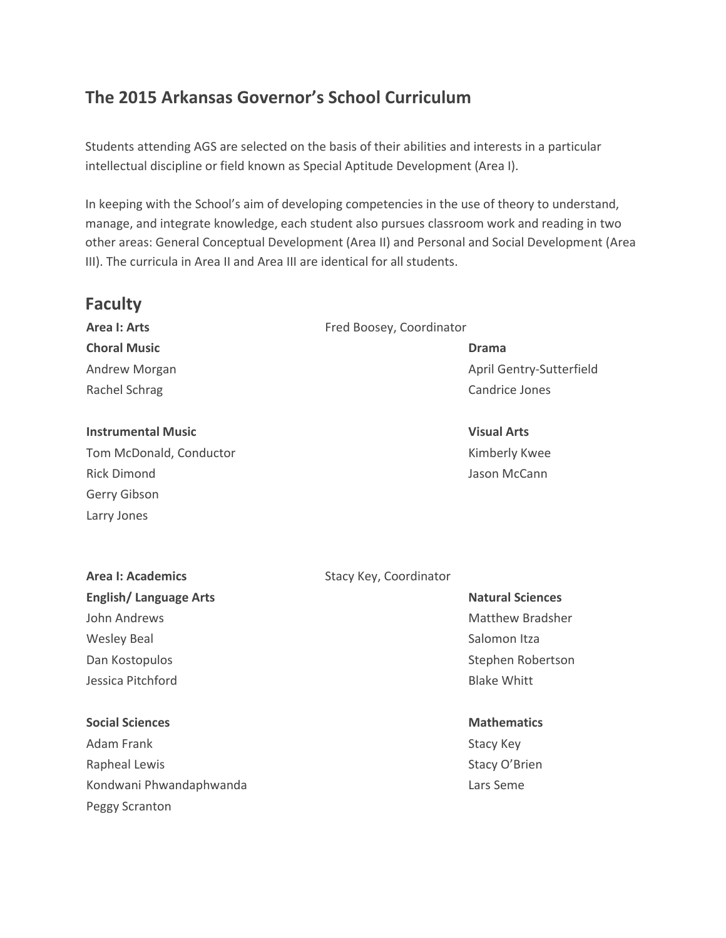# **The 2015 Arkansas Governor's School Curriculum**

Students attending AGS are selected on the basis of their abilities and interests in a particular intellectual discipline or field known as Special Aptitude Development (Area I).

In keeping with the School's aim of developing competencies in the use of theory to understand, manage, and integrate knowledge, each student also pursues classroom work and reading in two other areas: General Conceptual Development (Area II) and Personal and Social Development (Area III). The curricula in Area II and Area III are identical for all students.

# **Faculty**

**Choral Music Drama** Rachel Schrag Candrice Jones Candrice Jones Candrice Jones Candrice Jones Candrice Jones Candrice Jones Candrice Jones Candrice Jones Candrice Jones Candrice Jones Candrice Jones Candrice Jones Candrice Jones Candrice Jone

#### **Instrumental Music Visual Arts**

Tom McDonald, Conductor Tom McDonald, Conductor And American Conductor Rimberly Kwee Rick Dimond Jason McCann Gerry Gibson Larry Jones

#### **Area I: Arts** Fred Boosey, Coordinator

Andrew Morgan April Gentry-Sutterfield

# **English/Language Arts Natural Sciences Natural Sciences** John Andrews **Matthew Bradsher** Matthew Bradsher Wesley Beal News Salomon Itza Dan Kostopulos National Stephen Robertson National Stephen Robertson

#### **Social Sciences Mathematics Mathematics Mathematics**

Adam Frank Stacy Key Rapheal Lewis **Stacy O'Brien** Kondwani Phwandaphwanda **Lars Seme** Lars Seme Peggy Scranton

## **Area I: Academics** Stacy Key, Coordinator

**Jessica Pitchford Blake Whitt Blake Whitt**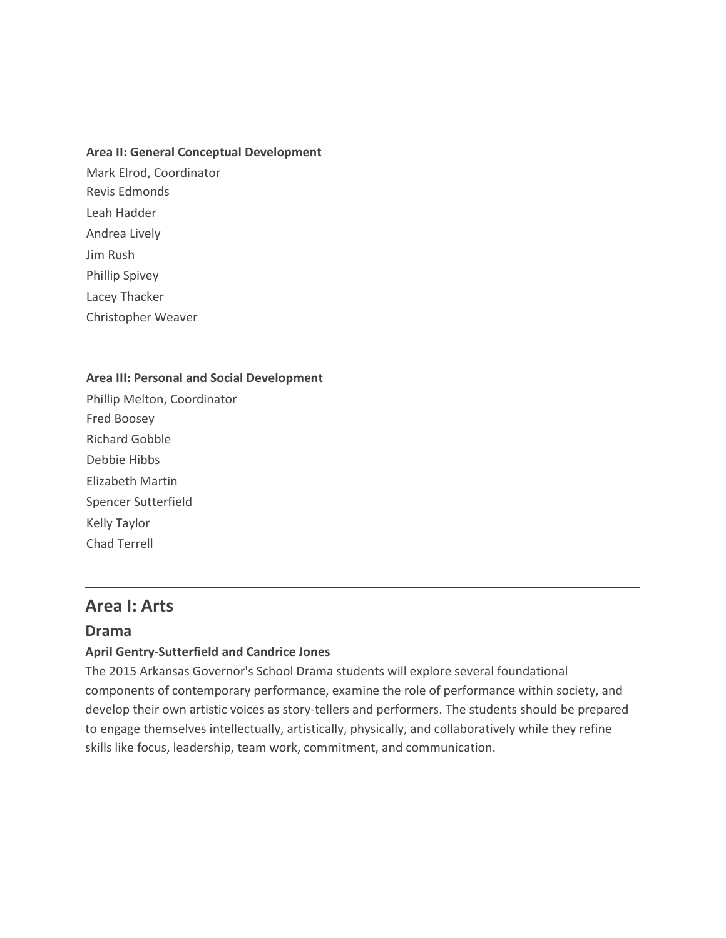#### **Area II: General Conceptual Development**

- Mark Elrod, Coordinator Revis Edmonds Leah Hadder Andrea Lively Jim Rush Phillip Spivey Lacey Thacker
- Christopher Weaver

#### **Area III: Personal and Social Development**

Phillip Melton, Coordinator Fred Boosey Richard Gobble Debbie Hibbs Elizabeth Martin Spencer Sutterfield Kelly Taylor Chad Terrell

# **Area I: Arts**

#### **Drama**

#### **April Gentry-Sutterfield and Candrice Jones**

The 2015 Arkansas Governor's School Drama students will explore several foundational components of contemporary performance, examine the role of performance within society, and develop their own artistic voices as story-tellers and performers. The students should be prepared to engage themselves intellectually, artistically, physically, and collaboratively while they refine skills like focus, leadership, team work, commitment, and communication.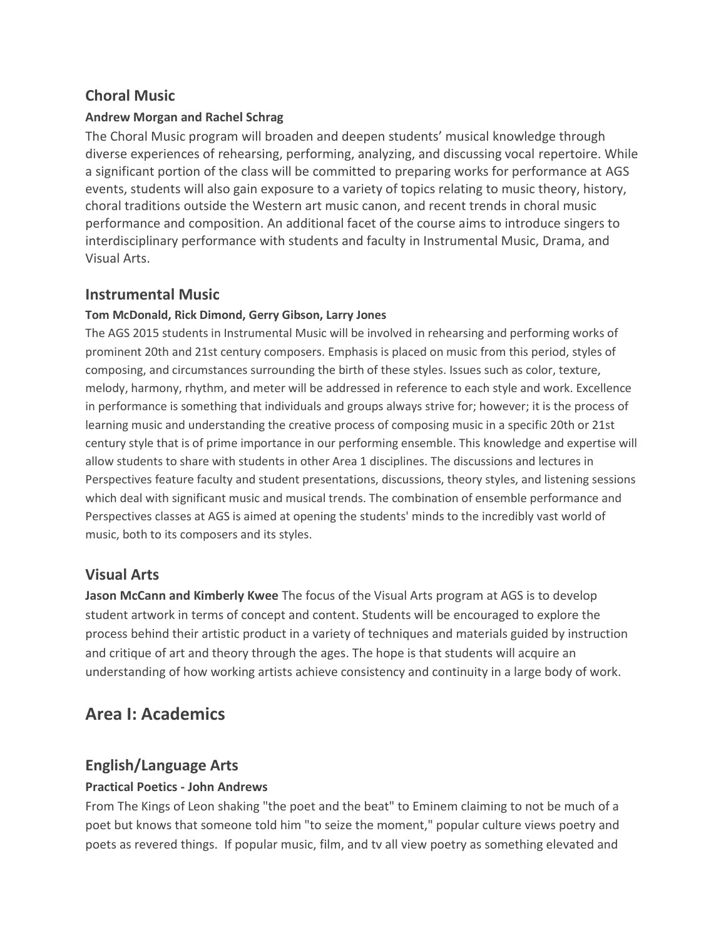# **Choral Music**

## **Andrew Morgan and Rachel Schrag**

The Choral Music program will broaden and deepen students' musical knowledge through diverse experiences of rehearsing, performing, analyzing, and discussing vocal repertoire. While a significant portion of the class will be committed to preparing works for performance at AGS events, students will also gain exposure to a variety of topics relating to music theory, history, choral traditions outside the Western art music canon, and recent trends in choral music performance and composition. An additional facet of the course aims to introduce singers to interdisciplinary performance with students and faculty in Instrumental Music, Drama, and Visual Arts.

# **Instrumental Music**

### **Tom McDonald, Rick Dimond, Gerry Gibson, Larry Jones**

The AGS 2015 students in Instrumental Music will be involved in rehearsing and performing works of prominent 20th and 21st century composers. Emphasis is placed on music from this period, styles of composing, and circumstances surrounding the birth of these styles. Issues such as color, texture, melody, harmony, rhythm, and meter will be addressed in reference to each style and work. Excellence in performance is something that individuals and groups always strive for; however; it is the process of learning music and understanding the creative process of composing music in a specific 20th or 21st century style that is of prime importance in our performing ensemble. This knowledge and expertise will allow students to share with students in other Area 1 disciplines. The discussions and lectures in Perspectives feature faculty and student presentations, discussions, theory styles, and listening sessions which deal with significant music and musical trends. The combination of ensemble performance and Perspectives classes at AGS is aimed at opening the students' minds to the incredibly vast world of music, both to its composers and its styles.

# **Visual Arts**

**Jason McCann and Kimberly Kwee** The focus of the Visual Arts program at AGS is to develop student artwork in terms of concept and content. Students will be encouraged to explore the process behind their artistic product in a variety of techniques and materials guided by instruction and critique of art and theory through the ages. The hope is that students will acquire an understanding of how working artists achieve consistency and continuity in a large body of work.

# **Area I: Academics**

# **English/Language Arts**

## **Practical Poetics - John Andrews**

From The Kings of Leon shaking "the poet and the beat" to Eminem claiming to not be much of a poet but knows that someone told him "to seize the moment," popular culture views poetry and poets as revered things. If popular music, film, and tv all view poetry as something elevated and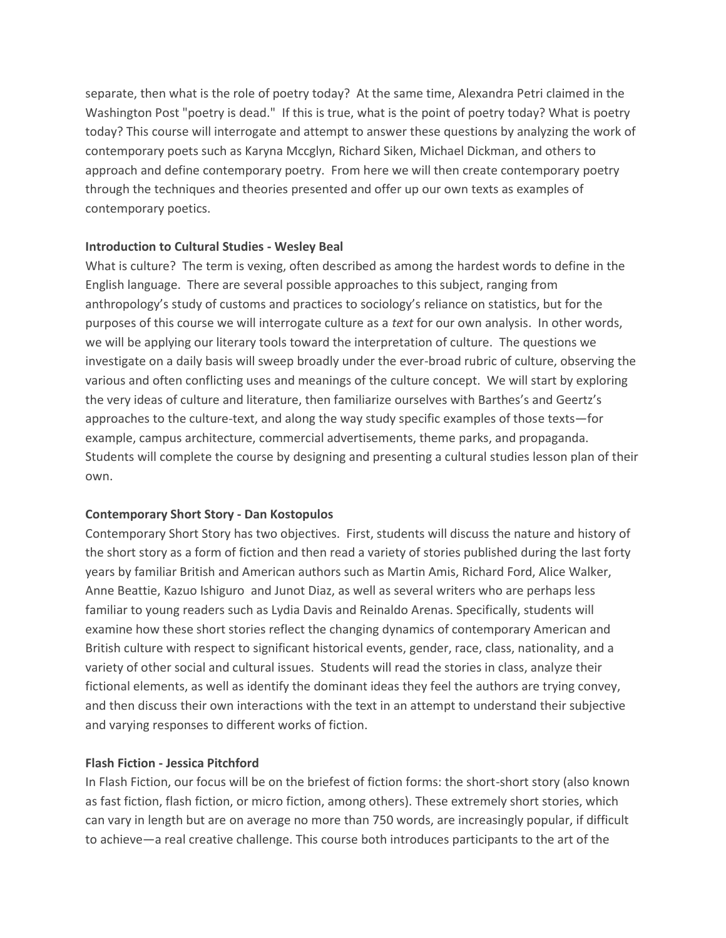separate, then what is the role of poetry today? At the same time, Alexandra Petri claimed in the Washington Post "poetry is dead." If this is true, what is the point of poetry today? What is poetry today? This course will interrogate and attempt to answer these questions by analyzing the work of contemporary poets such as Karyna Mccglyn, Richard Siken, Michael Dickman, and others to approach and define contemporary poetry. From here we will then create contemporary poetry through the techniques and theories presented and offer up our own texts as examples of contemporary poetics.

#### **Introduction to Cultural Studies - Wesley Beal**

What is culture? The term is vexing, often described as among the hardest words to define in the English language. There are several possible approaches to this subject, ranging from anthropology's study of customs and practices to sociology's reliance on statistics, but for the purposes of this course we will interrogate culture as a *text* for our own analysis. In other words, we will be applying our literary tools toward the interpretation of culture.The questions we investigate on a daily basis will sweep broadly under the ever-broad rubric of culture, observing the various and often conflicting uses and meanings of the culture concept. We will start by exploring the very ideas of culture and literature, then familiarize ourselves with Barthes's and Geertz's approaches to the culture-text, and along the way study specific examples of those texts—for example, campus architecture, commercial advertisements, theme parks, and propaganda. Students will complete the course by designing and presenting a cultural studies lesson plan of their own.

#### **Contemporary Short Story - Dan Kostopulos**

Contemporary Short Story has two objectives. First, students will discuss the nature and history of the short story as a form of fiction and then read a variety of stories published during the last forty years by familiar British and American authors such as Martin Amis, Richard Ford, Alice Walker, Anne Beattie, Kazuo Ishiguro and Junot Diaz, as well as several writers who are perhaps less familiar to young readers such as Lydia Davis and Reinaldo Arenas. Specifically, students will examine how these short stories reflect the changing dynamics of contemporary American and British culture with respect to significant historical events, gender, race, class, nationality, and a variety of other social and cultural issues. Students will read the stories in class, analyze their fictional elements, as well as identify the dominant ideas they feel the authors are trying convey, and then discuss their own interactions with the text in an attempt to understand their subjective and varying responses to different works of fiction.

#### **Flash Fiction - Jessica Pitchford**

In Flash Fiction, our focus will be on the briefest of fiction forms: the short-short story (also known as fast fiction, flash fiction, or micro fiction, among others). These extremely short stories, which can vary in length but are on average no more than 750 words, are increasingly popular, if difficult to achieve—a real creative challenge. This course both introduces participants to the art of the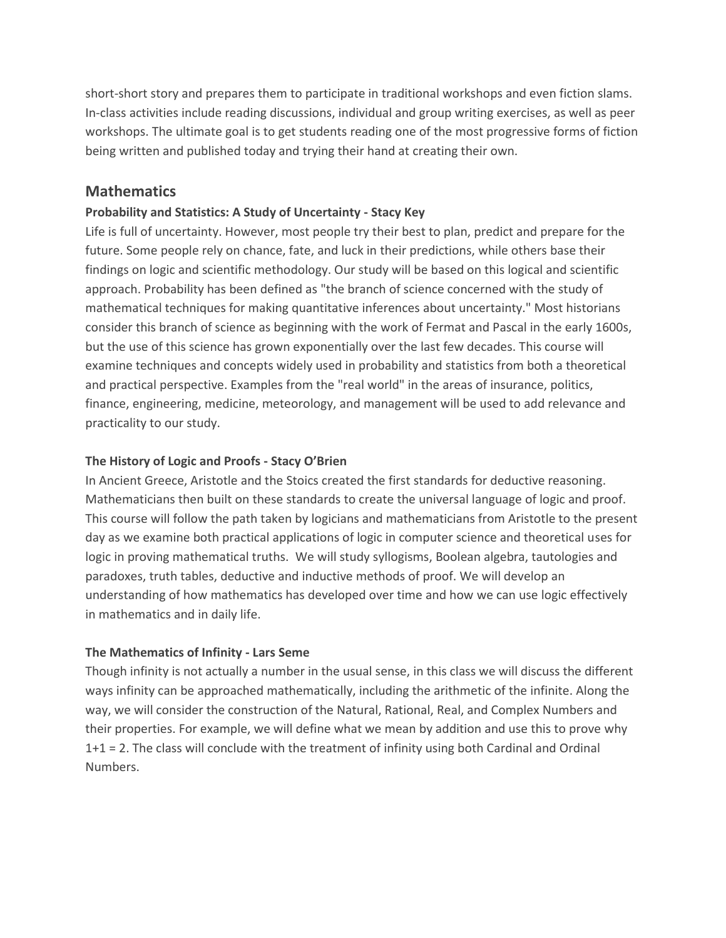short-short story and prepares them to participate in traditional workshops and even fiction slams. In-class activities include reading discussions, individual and group writing exercises, as well as peer workshops. The ultimate goal is to get students reading one of the most progressive forms of fiction being written and published today and trying their hand at creating their own.

# **Mathematics**

### **Probability and Statistics: A Study of Uncertainty - Stacy Key**

Life is full of uncertainty. However, most people try their best to plan, predict and prepare for the future. Some people rely on chance, fate, and luck in their predictions, while others base their findings on logic and scientific methodology. Our study will be based on this logical and scientific approach. Probability has been defined as "the branch of science concerned with the study of mathematical techniques for making quantitative inferences about uncertainty." Most historians consider this branch of science as beginning with the work of Fermat and Pascal in the early 1600s, but the use of this science has grown exponentially over the last few decades. This course will examine techniques and concepts widely used in probability and statistics from both a theoretical and practical perspective. Examples from the "real world" in the areas of insurance, politics, finance, engineering, medicine, meteorology, and management will be used to add relevance and practicality to our study.

#### **The History of Logic and Proofs - Stacy O'Brien**

In Ancient Greece, Aristotle and the Stoics created the first standards for deductive reasoning. Mathematicians then built on these standards to create the universal language of logic and proof. This course will follow the path taken by logicians and mathematicians from Aristotle to the present day as we examine both practical applications of logic in computer science and theoretical uses for logic in proving mathematical truths. We will study syllogisms, Boolean algebra, tautologies and paradoxes, truth tables, deductive and inductive methods of proof. We will develop an understanding of how mathematics has developed over time and how we can use logic effectively in mathematics and in daily life.

## **The Mathematics of Infinity - Lars Seme**

Though infinity is not actually a number in the usual sense, in this class we will discuss the different ways infinity can be approached mathematically, including the arithmetic of the infinite. Along the way, we will consider the construction of the Natural, Rational, Real, and Complex Numbers and their properties. For example, we will define what we mean by addition and use this to prove why 1+1 = 2. The class will conclude with the treatment of infinity using both Cardinal and Ordinal Numbers.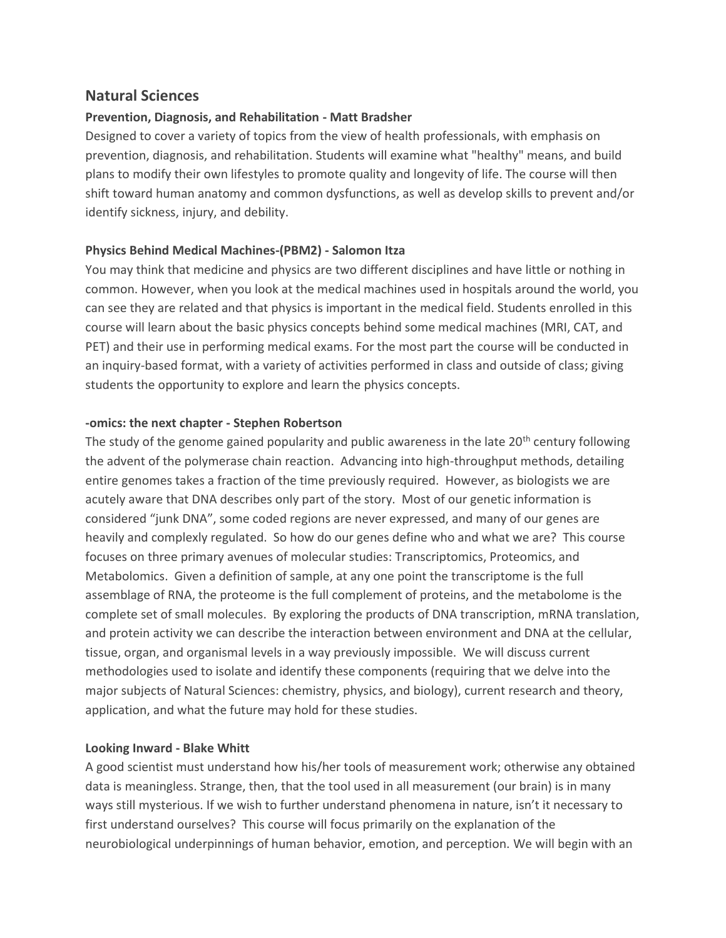## **Natural Sciences**

#### **Prevention, Diagnosis, and Rehabilitation - Matt Bradsher**

Designed to cover a variety of topics from the view of health professionals, with emphasis on prevention, diagnosis, and rehabilitation. Students will examine what "healthy" means, and build plans to modify their own lifestyles to promote quality and longevity of life. The course will then shift toward human anatomy and common dysfunctions, as well as develop skills to prevent and/or identify sickness, injury, and debility.

#### **Physics Behind Medical Machines-(PBM2) - Salomon Itza**

You may think that medicine and physics are two different disciplines and have little or nothing in common. However, when you look at the medical machines used in hospitals around the world, you can see they are related and that physics is important in the medical field. Students enrolled in this course will learn about the basic physics concepts behind some medical machines (MRI, CAT, and PET) and their use in performing medical exams. For the most part the course will be conducted in an inquiry-based format, with a variety of activities performed in class and outside of class; giving students the opportunity to explore and learn the physics concepts.

#### **-omics: the next chapter - Stephen Robertson**

The study of the genome gained popularity and public awareness in the late 20<sup>th</sup> century following the advent of the polymerase chain reaction. Advancing into high-throughput methods, detailing entire genomes takes a fraction of the time previously required. However, as biologists we are acutely aware that DNA describes only part of the story. Most of our genetic information is considered "junk DNA", some coded regions are never expressed, and many of our genes are heavily and complexly regulated. So how do our genes define who and what we are? This course focuses on three primary avenues of molecular studies: Transcriptomics, Proteomics, and Metabolomics. Given a definition of sample, at any one point the transcriptome is the full assemblage of RNA, the proteome is the full complement of proteins, and the metabolome is the complete set of small molecules. By exploring the products of DNA transcription, mRNA translation, and protein activity we can describe the interaction between environment and DNA at the cellular, tissue, organ, and organismal levels in a way previously impossible. We will discuss current methodologies used to isolate and identify these components (requiring that we delve into the major subjects of Natural Sciences: chemistry, physics, and biology), current research and theory, application, and what the future may hold for these studies.

#### **Looking Inward - Blake Whitt**

A good scientist must understand how his/her tools of measurement work; otherwise any obtained data is meaningless. Strange, then, that the tool used in all measurement (our brain) is in many ways still mysterious. If we wish to further understand phenomena in nature, isn't it necessary to first understand ourselves?This course will focus primarily on the explanation of the neurobiological underpinnings of human behavior, emotion, and perception. We will begin with an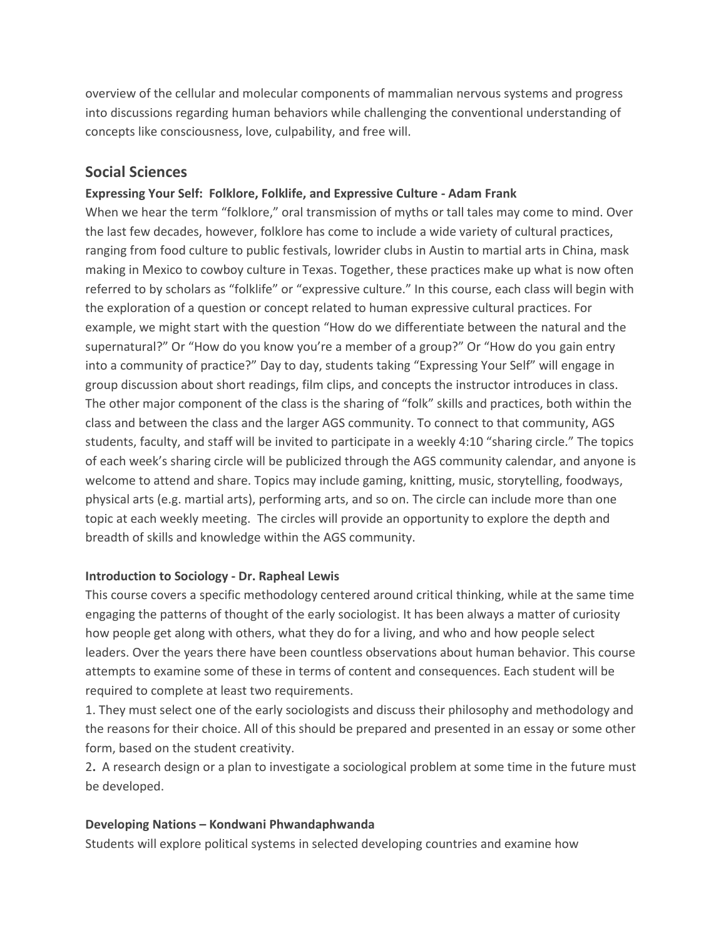overview of the cellular and molecular components of mammalian nervous systems and progress into discussions regarding human behaviors while challenging the conventional understanding of concepts like consciousness, love, culpability, and free will.

## **Social Sciences**

### **Expressing Your Self: Folklore, Folklife, and Expressive Culture - Adam Frank**

When we hear the term "folklore," oral transmission of myths or tall tales may come to mind. Over the last few decades, however, folklore has come to include a wide variety of cultural practices, ranging from food culture to public festivals, lowrider clubs in Austin to martial arts in China, mask making in Mexico to cowboy culture in Texas. Together, these practices make up what is now often referred to by scholars as "folklife" or "expressive culture." In this course, each class will begin with the exploration of a question or concept related to human expressive cultural practices. For example, we might start with the question "How do we differentiate between the natural and the supernatural?" Or "How do you know you're a member of a group?" Or "How do you gain entry into a community of practice?" Day to day, students taking "Expressing Your Self" will engage in group discussion about short readings, film clips, and concepts the instructor introduces in class. The other major component of the class is the sharing of "folk" skills and practices, both within the class and between the class and the larger AGS community. To connect to that community, AGS students, faculty, and staff will be invited to participate in a weekly 4:10 "sharing circle." The topics of each week's sharing circle will be publicized through the AGS community calendar, and anyone is welcome to attend and share. Topics may include gaming, knitting, music, storytelling, foodways, physical arts (e.g. martial arts), performing arts, and so on. The circle can include more than one topic at each weekly meeting. The circles will provide an opportunity to explore the depth and breadth of skills and knowledge within the AGS community.

#### **Introduction to Sociology - Dr. Rapheal Lewis**

This course covers a specific methodology centered around critical thinking, while at the same time engaging the patterns of thought of the early sociologist. It has been always a matter of curiosity how people get along with others, what they do for a living, and who and how people select leaders. Over the years there have been countless observations about human behavior. This course attempts to examine some of these in terms of content and consequences. Each student will be required to complete at least two requirements.

1. They must select one of the early sociologists and discuss their philosophy and methodology and the reasons for their choice. All of this should be prepared and presented in an essay or some other form, based on the student creativity.

2**.** A research design or a plan to investigate a sociological problem at some time in the future must be developed.

#### **Developing Nations – Kondwani Phwandaphwanda**

Students will explore political systems in selected developing countries and examine how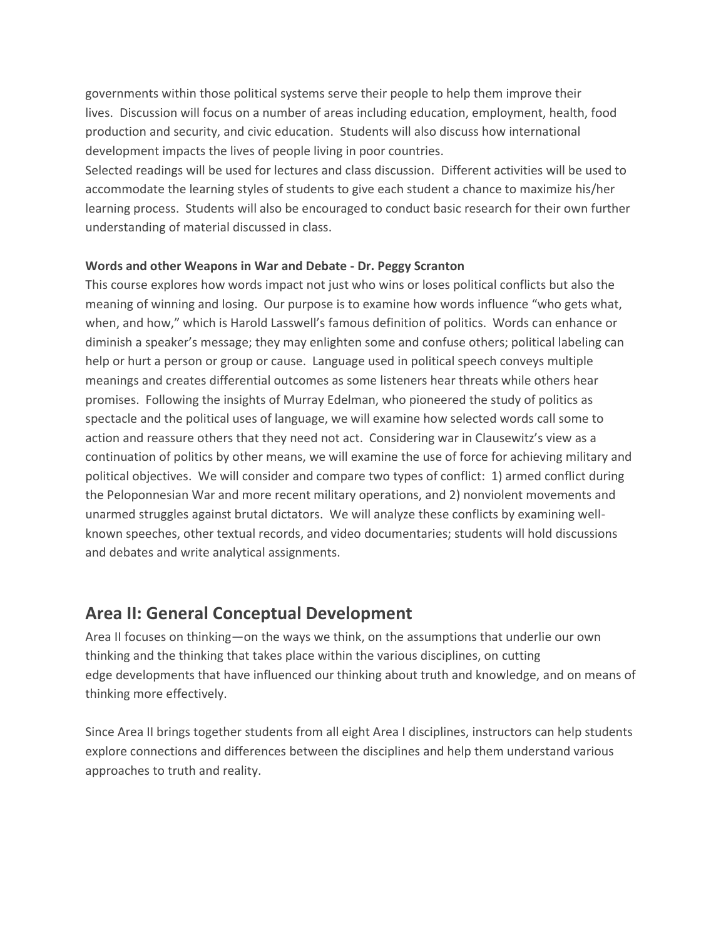governments within those political systems serve their people to help them improve their lives. Discussion will focus on a number of areas including education, employment, health, food production and security, and civic education. Students will also discuss how international development impacts the lives of people living in poor countries.

Selected readings will be used for lectures and class discussion. Different activities will be used to accommodate the learning styles of students to give each student a chance to maximize his/her learning process. Students will also be encouraged to conduct basic research for their own further understanding of material discussed in class.

#### **Words and other Weapons in War and Debate - Dr. Peggy Scranton**

This course explores how words impact not just who wins or loses political conflicts but also the meaning of winning and losing. Our purpose is to examine how words influence "who gets what, when, and how," which is Harold Lasswell's famous definition of politics. Words can enhance or diminish a speaker's message; they may enlighten some and confuse others; political labeling can help or hurt a person or group or cause. Language used in political speech conveys multiple meanings and creates differential outcomes as some listeners hear threats while others hear promises. Following the insights of Murray Edelman, who pioneered the study of politics as spectacle and the political uses of language, we will examine how selected words call some to action and reassure others that they need not act. Considering war in Clausewitz's view as a continuation of politics by other means, we will examine the use of force for achieving military and political objectives. We will consider and compare two types of conflict: 1) armed conflict during the Peloponnesian War and more recent military operations, and 2) nonviolent movements and unarmed struggles against brutal dictators. We will analyze these conflicts by examining wellknown speeches, other textual records, and video documentaries; students will hold discussions and debates and write analytical assignments.

# **Area II: General Conceptual Development**

Area II focuses on thinking—on the ways we think, on the assumptions that underlie our own thinking and the thinking that takes place within the various disciplines, on cutting edge developments that have influenced our thinking about truth and knowledge, and on means of thinking more effectively.

Since Area II brings together students from all eight Area I disciplines, instructors can help students explore connections and differences between the disciplines and help them understand various approaches to truth and reality.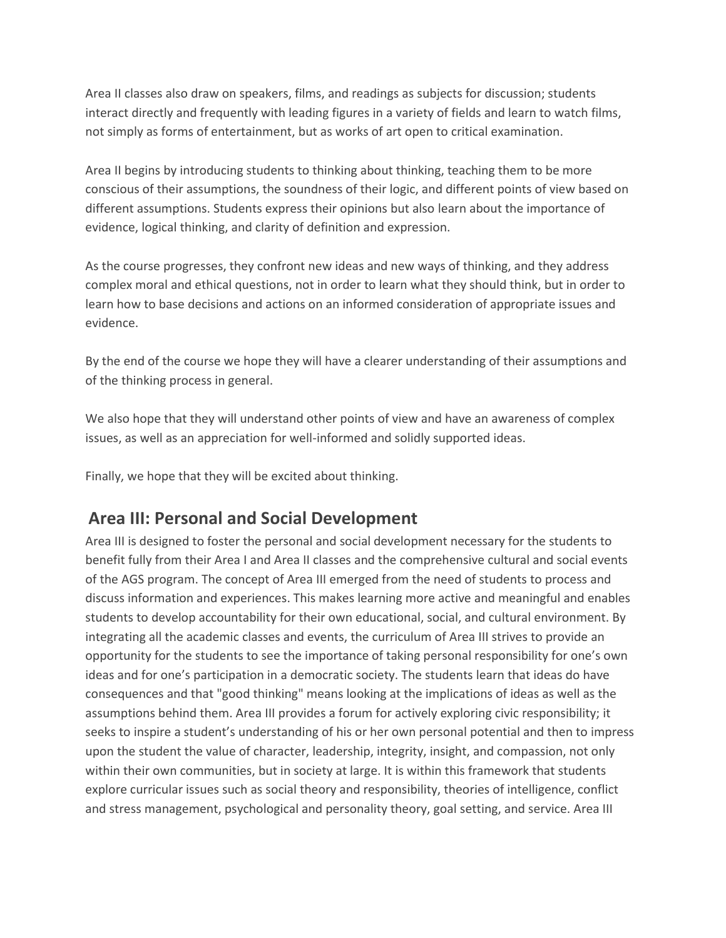Area II classes also draw on speakers, films, and readings as subjects for discussion; students interact directly and frequently with leading figures in a variety of fields and learn to watch films, not simply as forms of entertainment, but as works of art open to critical examination.

Area II begins by introducing students to thinking about thinking, teaching them to be more conscious of their assumptions, the soundness of their logic, and different points of view based on different assumptions. Students express their opinions but also learn about the importance of evidence, logical thinking, and clarity of definition and expression.

As the course progresses, they confront new ideas and new ways of thinking, and they address complex moral and ethical questions, not in order to learn what they should think, but in order to learn how to base decisions and actions on an informed consideration of appropriate issues and evidence.

By the end of the course we hope they will have a clearer understanding of their assumptions and of the thinking process in general.

We also hope that they will understand other points of view and have an awareness of complex issues, as well as an appreciation for well-informed and solidly supported ideas.

Finally, we hope that they will be excited about thinking.

# **Area III: Personal and Social Development**

Area III is designed to foster the personal and social development necessary for the students to benefit fully from their Area I and Area II classes and the comprehensive cultural and social events of the AGS program. The concept of Area III emerged from the need of students to process and discuss information and experiences. This makes learning more active and meaningful and enables students to develop accountability for their own educational, social, and cultural environment. By integrating all the academic classes and events, the curriculum of Area III strives to provide an opportunity for the students to see the importance of taking personal responsibility for one's own ideas and for one's participation in a democratic society. The students learn that ideas do have consequences and that "good thinking" means looking at the implications of ideas as well as the assumptions behind them. Area III provides a forum for actively exploring civic responsibility; it seeks to inspire a student's understanding of his or her own personal potential and then to impress upon the student the value of character, leadership, integrity, insight, and compassion, not only within their own communities, but in society at large. It is within this framework that students explore curricular issues such as social theory and responsibility, theories of intelligence, conflict and stress management, psychological and personality theory, goal setting, and service. Area III